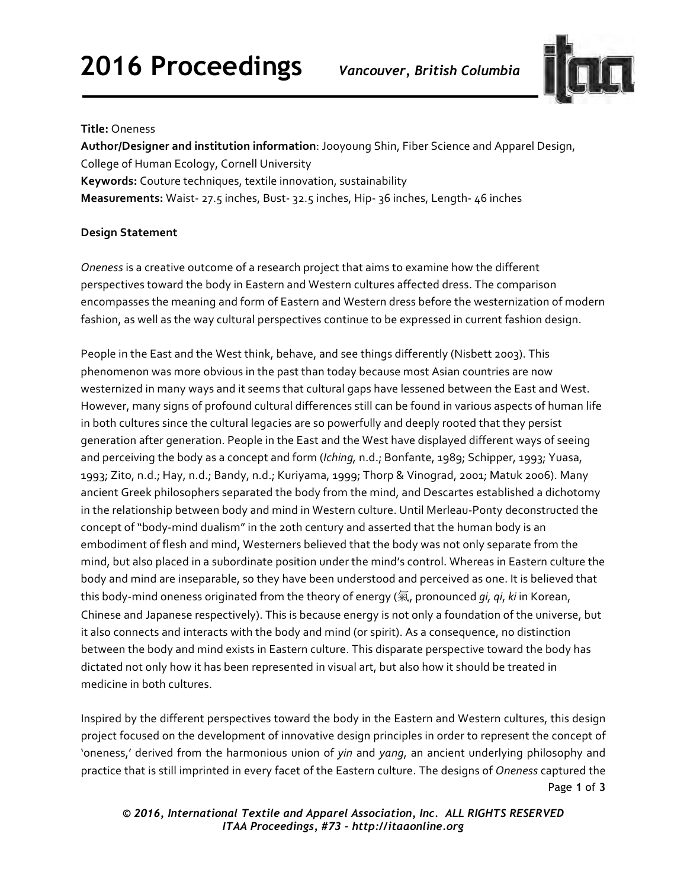# **2016 Proceedings** *Vancouver, British Columbia*



#### **Title:** Oneness

Author/Designer and institution information: Jooyoung Shin, Fiber Science and Apparel Design, College of Human Ecology, Cornell University **Keywords:** Couture techniques, textile innovation, sustainability **Measurements:** Waist- 27.5 inches, Bust- 32.5 inches, Hip- 36 inches, Length- 46 inches

## **Design Statement**

*Oneness* is a creative outcome of a research project that aims to examine how the different perspectives toward the body in Eastern and Western cultures affected dress. The comparison encompasses the meaning and form of Eastern and Western dress before the westernization of modern fashion, as well as the way cultural perspectives continue to be expressed in current fashion design.

People in the East and the West think, behave, and see things differently (Nisbett 2003). This phenomenon was more obvious in the past than today because most Asian countries are now westernized in many ways and it seems that cultural gaps have lessened between the East and West. However, many signs of profound cultural differences still can be found in various aspects of human life in both cultures since the cultural legacies are so powerfully and deeply rooted that they persist generation after generation. People in the East and the West have displayed different ways of seeing and perceiving the body as a concept and form (*Iching*, n.d.; Bonfante, 1989; Schipper, 1993; Yuasa, 1993; Zito, n.d.; Hay, n.d.; Bandy, n.d.; Kuriyama, 1999; Thorp & Vinograd, 2001; Matuk 2006). Many ancient Greek philosophers separated the body from the mind, and Descartes established a dichotomy in the relationship between body and mind in Western culture. Until Merleau-Ponty deconstructed the concept of "body-mind dualism" in the 20th century and asserted that the human body is an embodiment of flesh and mind, Westerners believed that the body was not only separate from the mind, but also placed in a subordinate position under the mind's control. Whereas in Eastern culture the body and mind are inseparable, so they have been understood and perceived as one. It is believed that this body-mind oneness originated from the theory of energy (氣, pronounced *qi, qi, ki* in Korean, Chinese and Japanese respectively). This is because energy is not only a foundation of the universe, but it also connects and interacts with the body and mind (or spirit). As a consequence, no distinction between the body and mind exists in Eastern culture. This disparate perspective toward the body has dictated not only how it has been represented in visual art, but also how it should be treated in medicine in both cultures.

Page **1** of **3**  Inspired by the different perspectives toward the body in the Eastern and Western cultures, this design project focused on the development of innovative design principles in order to represent the concept of 'oneness,' derived from the harmonious union of *yin* and yang, an ancient underlying philosophy and practice that is still imprinted in every facet of the Eastern culture. The designs of Oneness captured the

*© 2016, International Textile and Apparel Association, Inc. ALL RIGHTS RESERVED ITAA Proceedings, #73 – http://itaaonline.org*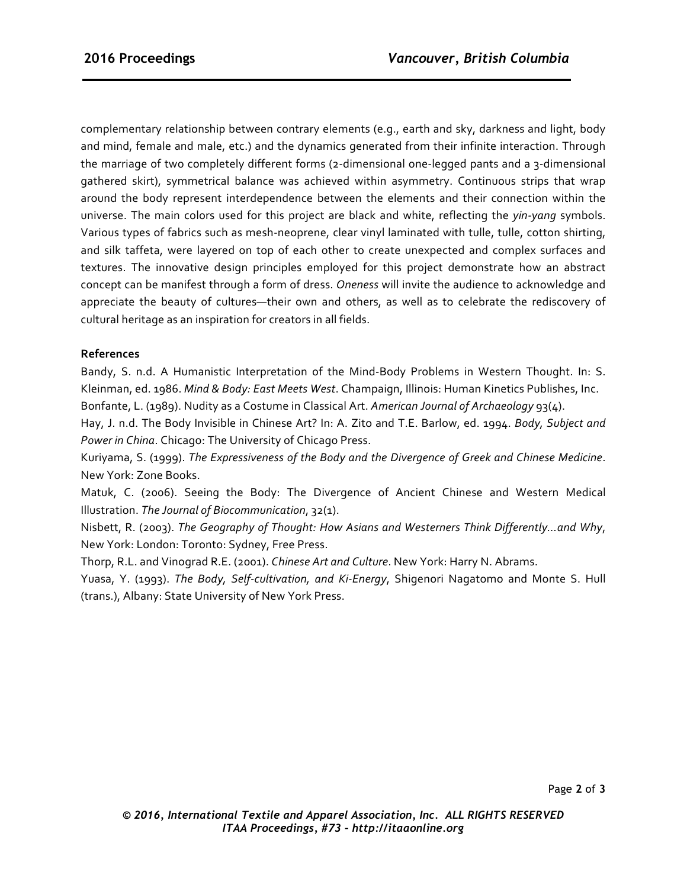complementary relationship between contrary elements (e.g., earth and sky, darkness and light, body and mind, female and male, etc.) and the dynamics generated from their infinite interaction. Through the marriage of two completely different forms (2-dimensional one-legged pants and a 3-dimensional gathered skirt), symmetrical balance was achieved within asymmetry. Continuous strips that wrap around the body represent interdependence between the elements and their connection within the universe. The main colors used for this project are black and white, reflecting the *yin-yang* symbols. Various types of fabrics such as mesh-neoprene, clear vinyl laminated with tulle, tulle, cotton shirting, and silk taffeta, were layered on top of each other to create unexpected and complex surfaces and textures. The innovative design principles employed for this project demonstrate how an abstract concept can be manifest through a form of dress. *Oneness* will invite the audience to acknowledge and appreciate the beauty of cultures—their own and others, as well as to celebrate the rediscovery of cultural heritage as an inspiration for creators in all fields.

## **References**

Bandy, S. n.d. A Humanistic Interpretation of the Mind-Body Problems in Western Thought. In: S. Kleinman, ed. 1986. Mind & Body: East Meets West. Champaign, Illinois: Human Kinetics Publishes, Inc. Bonfante, L. (1989). Nudity as a Costume in Classical Art. American Journal of Archaeology 93(4).

Hay, J. n.d. The Body Invisible in Chinese Art? In: A. Zito and T.E. Barlow, ed. 1994. *Body, Subject and Power in China.* Chicago: The University of Chicago Press.

Kuriyama, S. (1999). *The Expressiveness of the Body and the Divergence of Greek and Chinese Medicine*. New York: Zone Books.

Matuk, C. (2006). Seeing the Body: The Divergence of Ancient Chinese and Western Medical Illustration. *The Journal of Biocommunication*, 32(1). 

Nisbett, R. (2003). The Geography of Thought: How Asians and Westerners Think Differently...and Why, New York: London: Toronto: Sydney, Free Press.

Thorp, R.L. and Vinograd R.E. (2001). *Chinese Art and Culture*. New York: Harry N. Abrams.

Yuasa, Y. (1993). The Body, Self-cultivation, and Ki-Energy, Shigenori Nagatomo and Monte S. Hull (trans.), Albany: State University of New York Press.